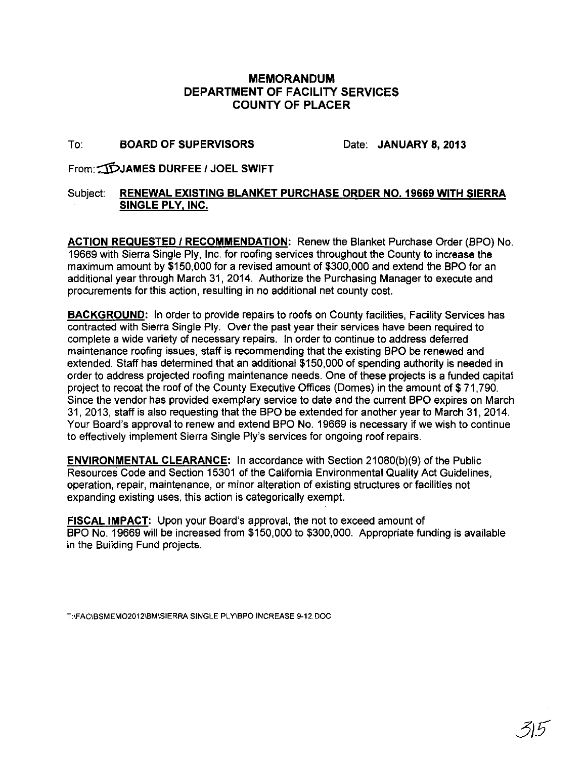## **MEMORANDUM DEPARTMENT OF FACILITY SERVICES COUNTY OF PLACER**

## To: **BOARD OF SUPERVISORS** Date: **JANUARY 8, 2013**

From:-:::1PJAMES **DURFEE I JOEL SWIFT** 

## Subject: **RENEWAL EXISTING BLANKET PURCHASE ORDER NO. 19669 WITH SIERRA SINGLE PLY. INC.**

**ACTION REQUESTED I RECOMMENDATION:** Renew the Blanket Purchase Order (BPO) No. 19669 with Sierra Single Ply, Inc. for roofing services throughout the County to increase the maximum amount by \$150,000 for a revised amount of \$300,000 and extend the BPO for an additional year through March 31, 2014. Authorize the Purchasing Manager to execute and procurements for this action, resulting in no additional net county cost.

**BACKGROUND: In** order to provide repairs to roofs on County facilities, Facility Services has contracted with Sierra Single Ply. Over the past year their services have been required to complete a wide variety of necessary repairs. In order to continue to address deferred maintenance roofing issues, staff is recommending that the existing BPO be renewed and extended. Staff has determined that an additional \$150,000 of spending authority is needed in order to address projected roofing maintenance needs. One of these projects is a funded capital project to recoat the roof of the County Executive Offices (Domes) in the amount of \$ 71,790. Since the vendor has provided exemplary service to date and the current BPO expires on March 31, 2013, staff is also requesting that the BPO be extended for another year to March 31, 2014. Your Board's approval to renew and extend BPO No. 19669 is necessary if we wish to continue to effectively implement Sierra Single Ply's services for ongoing roof repairs.

**ENVIRONMENTAL CLEARANCE:** In accordance with Section 21080(b)(9) of the Public Resources Code and Section 15301 of the California Environmental Quality Act Guidelines, operation, repair, maintenance, or minor alteration of existing structures or facilities not expanding existing uses, this action is categorically exempt.

**FISCAL IMPACT:** Upon your Board's approval, the not to exceed amount of BPO No. 19669 will be increased from \$150,000 to \$300,000. Appropriate funding is available in the Building Fund projects.

T:IFACIBSMEM02012IBMISIERRA SINGLE PL YIBPO INCREASE 9-12. DOC